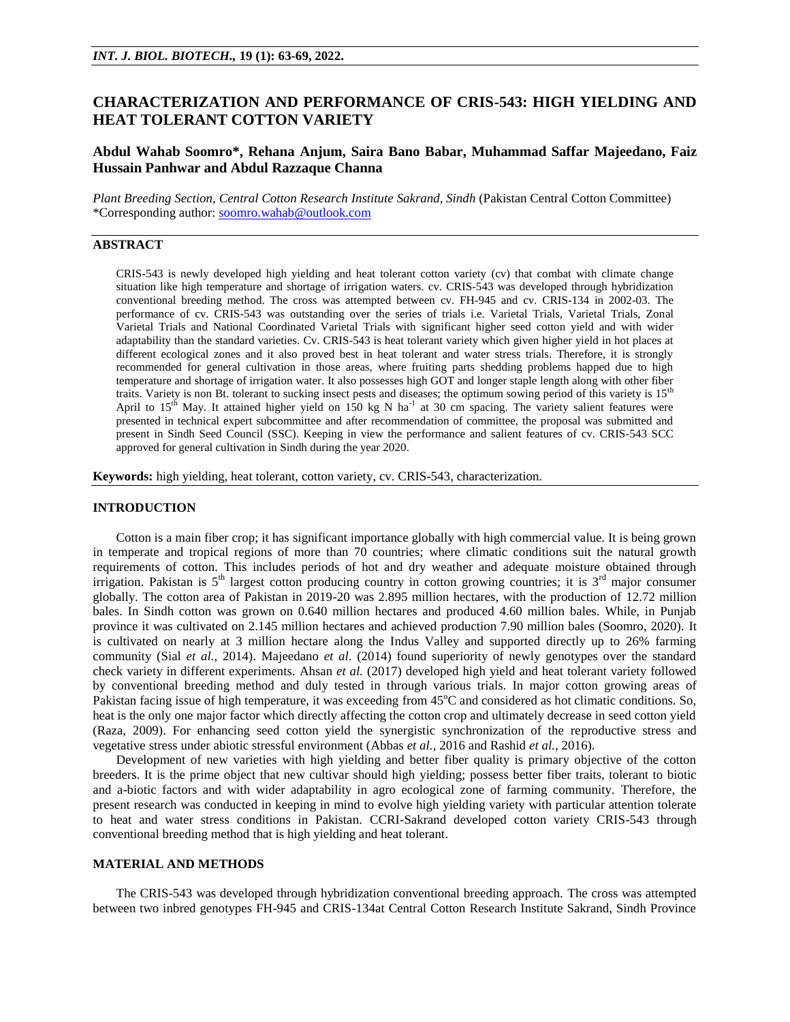# **CHARACTERIZATION AND PERFORMANCE OF CRIS-543: HIGH YIELDING AND HEAT TOLERANT COTTON VARIETY**

## **Abdul Wahab Soomro\*, Rehana Anjum, Saira Bano Babar, Muhammad Saffar Majeedano, Faiz Hussain Panhwar and Abdul Razzaque Channa**

*Plant Breeding Section, Central Cotton Research Institute Sakrand, Sindh* (Pakistan Central Cotton Committee) \*Corresponding author: [soomro.wahab@outlook.com](mailto:soomro.wahab@outlook.com)

## **ABSTRACT**

CRIS-543 is newly developed high yielding and heat tolerant cotton variety (cv) that combat with climate change situation like high temperature and shortage of irrigation waters. cv. CRIS-543 was developed through hybridization conventional breeding method. The cross was attempted between cv. FH-945 and cv. CRIS-134 in 2002-03. The performance of cv. CRIS-543 was outstanding over the series of trials i.e. Varietal Trials, Varietal Trials, Zonal Varietal Trials and National Coordinated Varietal Trials with significant higher seed cotton yield and with wider adaptability than the standard varieties. Cv. CRIS-543 is heat tolerant variety which given higher yield in hot places at different ecological zones and it also proved best in heat tolerant and water stress trials. Therefore, it is strongly recommended for general cultivation in those areas, where fruiting parts shedding problems happed due to high temperature and shortage of irrigation water. It also possesses high GOT and longer staple length along with other fiber traits. Variety is non Bt. tolerant to sucking insect pests and diseases; the optimum sowing period of this variety is 15<sup>th</sup> April to 15<sup>th</sup> May. It attained higher yield on 150 kg N ha<sup>-1</sup> at 30 cm spacing. The variety salient features were presented in technical expert subcommittee and after recommendation of committee, the proposal was submitted and present in Sindh Seed Council (SSC). Keeping in view the performance and salient features of cv. CRIS-543 SCC approved for general cultivation in Sindh during the year 2020.

**Keywords:** high yielding, heat tolerant, cotton variety, cv. CRIS-543, characterization.

### **INTRODUCTION**

Cotton is a main fiber crop; it has significant importance globally with high commercial value. It is being grown in temperate and tropical regions of more than 70 countries; where climatic conditions suit the natural growth requirements of cotton. This includes periods of hot and dry weather and adequate moisture obtained through irrigation. Pakistan is  $5<sup>th</sup>$  largest cotton producing country in cotton growing countries; it is  $3<sup>rd</sup>$  major consumer globally. The cotton area of Pakistan in 2019-20 was 2.895 million hectares, with the production of 12.72 million bales. In Sindh cotton was grown on 0.640 million hectares and produced 4.60 million bales. While, in Punjab province it was cultivated on 2.145 million hectares and achieved production 7.90 million bales (Soomro, 2020). It is cultivated on nearly at 3 million hectare along the Indus Valley and supported directly up to 26% farming community (Sial *et al.,* 2014). Majeedano *et al*. (2014) found superiority of newly genotypes over the standard check variety in different experiments. Ahsan *et al.* (2017) developed high yield and heat tolerant variety followed by conventional breeding method and duly tested in through various trials. In major cotton growing areas of Pakistan facing issue of high temperature, it was exceeding from 45<sup>o</sup>C and considered as hot climatic conditions. So, heat is the only one major factor which directly affecting the cotton crop and ultimately decrease in seed cotton yield (Raza, 2009). For enhancing seed cotton yield the synergistic synchronization of the reproductive stress and vegetative stress under abiotic stressful environment (Abbas *et al.,* 2016 and Rashid *et al.,* 2016).

Development of new varieties with high yielding and better fiber quality is primary objective of the cotton breeders. It is the prime object that new cultivar should high yielding; possess better fiber traits, tolerant to biotic and a-biotic factors and with wider adaptability in agro ecological zone of farming community. Therefore, the present research was conducted in keeping in mind to evolve high yielding variety with particular attention tolerate to heat and water stress conditions in Pakistan. CCRI-Sakrand developed cotton variety CRIS-543 through conventional breeding method that is high yielding and heat tolerant.

## **MATERIAL AND METHODS**

The CRIS-543 was developed through hybridization conventional breeding approach. The cross was attempted between two inbred genotypes FH-945 and CRIS-134at Central Cotton Research Institute Sakrand, Sindh Province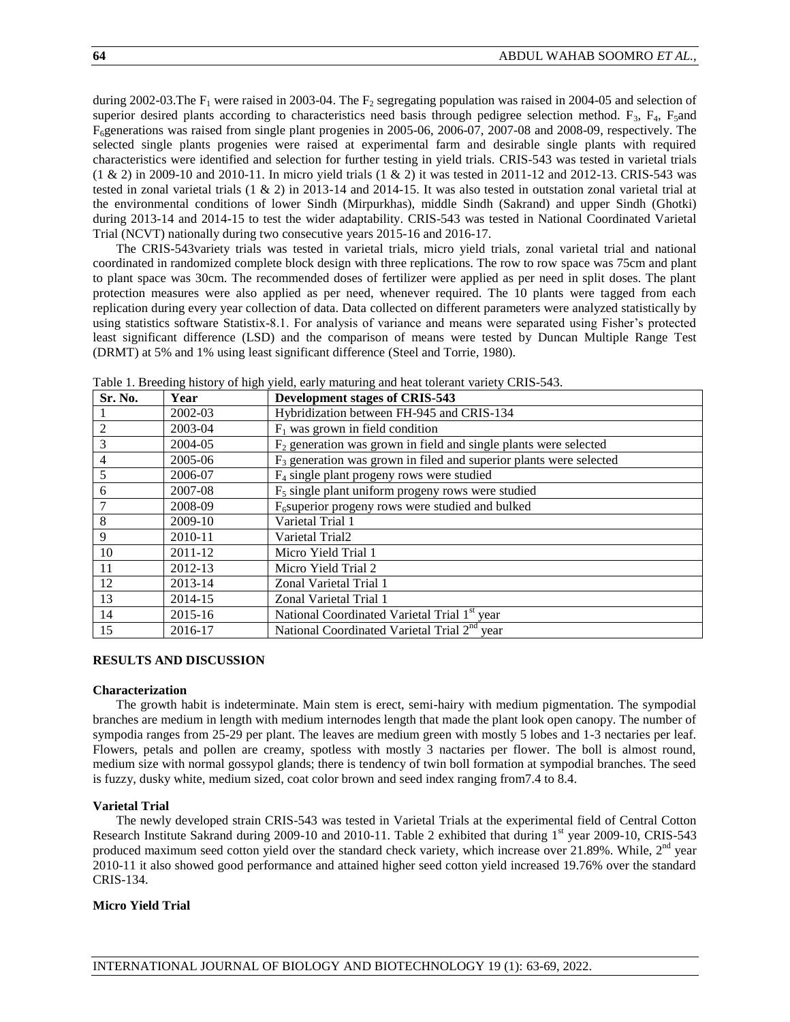during 2002-03. The  $F_1$  were raised in 2003-04. The  $F_2$  segregating population was raised in 2004-05 and selection of superior desired plants according to characteristics need basis through pedigree selection method.  $F_3$ ,  $F_4$ ,  $F_5$ and F6generations was raised from single plant progenies in 2005-06, 2006-07, 2007-08 and 2008-09, respectively. The selected single plants progenies were raised at experimental farm and desirable single plants with required characteristics were identified and selection for further testing in yield trials. CRIS-543 was tested in varietal trials (1 & 2) in 2009-10 and 2010-11. In micro yield trials (1 & 2) it was tested in 2011-12 and 2012-13. CRIS-543 was tested in zonal varietal trials  $(1 \& 2)$  in 2013-14 and 2014-15. It was also tested in outstation zonal varietal trial at the environmental conditions of lower Sindh (Mirpurkhas), middle Sindh (Sakrand) and upper Sindh (Ghotki) during 2013-14 and 2014-15 to test the wider adaptability. CRIS-543 was tested in National Coordinated Varietal Trial (NCVT) nationally during two consecutive years 2015-16 and 2016-17.

The CRIS-543variety trials was tested in varietal trials, micro yield trials, zonal varietal trial and national coordinated in randomized complete block design with three replications. The row to row space was 75cm and plant to plant space was 30cm. The recommended doses of fertilizer were applied as per need in split doses. The plant protection measures were also applied as per need, whenever required. The 10 plants were tagged from each replication during every year collection of data. Data collected on different parameters were analyzed statistically by using statistics software Statistix-8.1. For analysis of variance and means were separated using Fisher's protected least significant difference (LSD) and the comparison of means were tested by Duncan Multiple Range Test (DRMT) at 5% and 1% using least significant difference (Steel and Torrie, 1980).

| Sr. No.        | Year        | <b>Development stages of CRIS-543</b>                                 |
|----------------|-------------|-----------------------------------------------------------------------|
|                | 2002-03     | Hybridization between FH-945 and CRIS-134                             |
| 2              | 2003-04     | $F_1$ was grown in field condition                                    |
| 3              | 2004-05     | $F2$ generation was grown in field and single plants were selected    |
| $\overline{4}$ | 2005-06     | $F_3$ generation was grown in filed and superior plants were selected |
| 5              | 2006-07     | $F_4$ single plant progeny rows were studied                          |
| 6              | 2007-08     | $F5$ single plant uniform progeny rows were studied                   |
|                | 2008-09     | $F6superior progeny rows were studied and bulked$                     |
| 8              | $2009-10$   | Varietal Trial 1                                                      |
| 9              | 2010-11     | Varietal Trial2                                                       |
| 10             | 2011-12     | Micro Yield Trial 1                                                   |
| 11             | $2012 - 13$ | Micro Yield Trial 2                                                   |
| 12             | 2013-14     | Zonal Varietal Trial 1                                                |
| 13             | 2014-15     | Zonal Varietal Trial 1                                                |
| 14             | 2015-16     | National Coordinated Varietal Trial 1 <sup>st</sup> year              |
| 15             | 2016-17     | National Coordinated Varietal Trial 2 <sup>nd</sup> year              |

Table 1. Breeding history of high yield, early maturing and heat tolerant variety CRIS-543.

## **RESULTS AND DISCUSSION**

#### **Characterization**

The growth habit is indeterminate. Main stem is erect, semi-hairy with medium pigmentation. The sympodial branches are medium in length with medium internodes length that made the plant look open canopy. The number of sympodia ranges from 25-29 per plant. The leaves are medium green with mostly 5 lobes and 1-3 nectaries per leaf. Flowers, petals and pollen are creamy, spotless with mostly 3 nactaries per flower. The boll is almost round, medium size with normal gossypol glands; there is tendency of twin boll formation at sympodial branches. The seed is fuzzy, dusky white, medium sized, coat color brown and seed index ranging from7.4 to 8.4.

#### **Varietal Trial**

The newly developed strain CRIS-543 was tested in Varietal Trials at the experimental field of Central Cotton Research Institute Sakrand during 2009-10 and 2010-11. Table 2 exhibited that during 1<sup>st</sup> year 2009-10, CRIS-543 produced maximum seed cotton yield over the standard check variety, which increase over 21.89%. While,  $2<sup>nd</sup>$  year 2010-11 it also showed good performance and attained higher seed cotton yield increased 19.76% over the standard CRIS-134.

#### **Micro Yield Trial**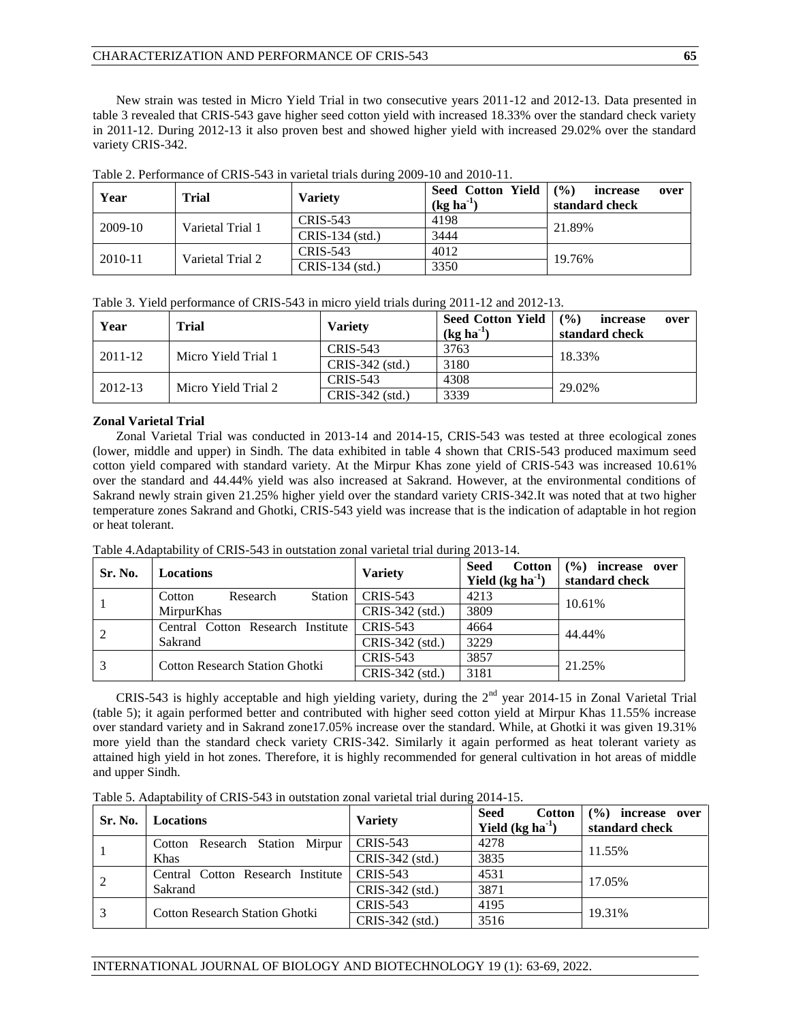New strain was tested in Micro Yield Trial in two consecutive years 2011-12 and 2012-13. Data presented in table 3 revealed that CRIS-543 gave higher seed cotton yield with increased 18.33% over the standard check variety in 2011-12. During 2012-13 it also proven best and showed higher yield with increased 29.02% over the standard variety CRIS-342.

| Year      | <b>Trial</b>     | <b>Variety</b>  | Seed Cotton Yield<br>$(kg ha-1)$ | (9/0)<br>increase<br>over<br>standard check |
|-----------|------------------|-----------------|----------------------------------|---------------------------------------------|
| $2009-10$ | Varietal Trial 1 | <b>CRIS-543</b> | 4198                             | 21.89%                                      |
|           |                  | CRIS-134 (std.) | 3444                             |                                             |
|           |                  | CRIS-543        | 4012                             | 19.76%                                      |
| 2010-11   | Varietal Trial 2 | CRIS-134 (std.) | 3350                             |                                             |

Table 2. Performance of CRIS-543 in varietal trials during 2009-10 and 2010-11.

|  | Table 3. Yield performance of CRIS-543 in micro yield trials during 2011-12 and 2012-13. |  |  |  |  |  |
|--|------------------------------------------------------------------------------------------|--|--|--|--|--|
|--|------------------------------------------------------------------------------------------|--|--|--|--|--|

| Year    | Trial               | <b>Variety</b>    | <b>Seed Cotton Yield</b><br>$(kg ha-1)$ | $($ %)<br>increase<br>over<br>standard check |
|---------|---------------------|-------------------|-----------------------------------------|----------------------------------------------|
| 2011-12 | Micro Yield Trial 1 | CRIS-543          | 3763                                    | 18.33%                                       |
|         |                     | $CRIS-342$ (std.) | 3180                                    |                                              |
|         |                     | CRIS-543          | 4308                                    | 29.02%                                       |
| 2012-13 | Micro Yield Trial 2 | CRIS-342 (std.)   | 3339                                    |                                              |

## **Zonal Varietal Trial**

Zonal Varietal Trial was conducted in 2013-14 and 2014-15, CRIS-543 was tested at three ecological zones (lower, middle and upper) in Sindh. The data exhibited in table 4 shown that CRIS-543 produced maximum seed cotton yield compared with standard variety. At the Mirpur Khas zone yield of CRIS-543 was increased 10.61% over the standard and 44.44% yield was also increased at Sakrand. However, at the environmental conditions of Sakrand newly strain given 21.25% higher yield over the standard variety CRIS-342.It was noted that at two higher temperature zones Sakrand and Ghotki, CRIS-543 yield was increase that is the indication of adaptable in hot region or heat tolerant.

|         | Table 4. Adaptability of URIS-543 in outstation zonal varietal trial during 2013-14. |                   |                                              |                                        |  |  |
|---------|--------------------------------------------------------------------------------------|-------------------|----------------------------------------------|----------------------------------------|--|--|
| Sr. No. | <b>Locations</b>                                                                     | <b>Variety</b>    | <b>Seed</b><br>Cotton  <br>Yield $(kg ha-1)$ | $(\%)$ increase over<br>standard check |  |  |
|         | Station<br>Research<br>Cotton                                                        | CRIS-543          | 4213                                         | 10.61%                                 |  |  |
|         | <b>MirpurKhas</b>                                                                    | $CRIS-342$ (std.) | 3809                                         |                                        |  |  |
|         | Central Cotton Research Institute                                                    | CRIS-543          | 4664                                         | 44.44%                                 |  |  |
| 2       | Sakrand                                                                              | $CRIS-342$ (std.) | 3229                                         |                                        |  |  |

<sup>3</sup> Cotton Research Station Ghotki CRIS-543 <sup>3857</sup> 21.25% CRIS-342 (std.) <sup>3181</sup>

Table 4.Adaptability of CRIS-543 in outstation zonal varietal trial during 2013-14.

CRIS-543 is highly acceptable and high yielding variety, during the  $2<sup>nd</sup>$  year 2014-15 in Zonal Varietal Trial (table 5); it again performed better and contributed with higher seed cotton yield at Mirpur Khas 11.55% increase over standard variety and in Sakrand zone17.05% increase over the standard. While, at Ghotki it was given 19.31% more yield than the standard check variety CRIS-342. Similarly it again performed as heat tolerant variety as attained high yield in hot zones. Therefore, it is highly recommended for general cultivation in hot areas of middle and upper Sindh.

Table 5. Adaptability of CRIS-543 in outstation zonal varietal trial during 2014-15.

| Sr. No. | <b>Locations</b>                      | <b>Variety</b>  | <b>Seed</b><br><b>Cotton</b><br>Yield $(kg ha-1)$ | $($ %)<br>increase over<br>standard check |
|---------|---------------------------------------|-----------------|---------------------------------------------------|-------------------------------------------|
|         | Research Station Mirpur<br>Cotton     | CRIS-543        | 4278                                              | 11.55%                                    |
|         | Khas                                  | CRIS-342 (std.) | 3835                                              |                                           |
| 2       | Central Cotton Research Institute     | CRIS-543        | 4531                                              | 17.05%                                    |
|         | Sakrand                               | CRIS-342 (std.) | 3871                                              |                                           |
| 3       | <b>Cotton Research Station Ghotki</b> | CRIS-543        | 4195                                              | 19.31%                                    |
|         |                                       | CRIS-342 (std.) | 3516                                              |                                           |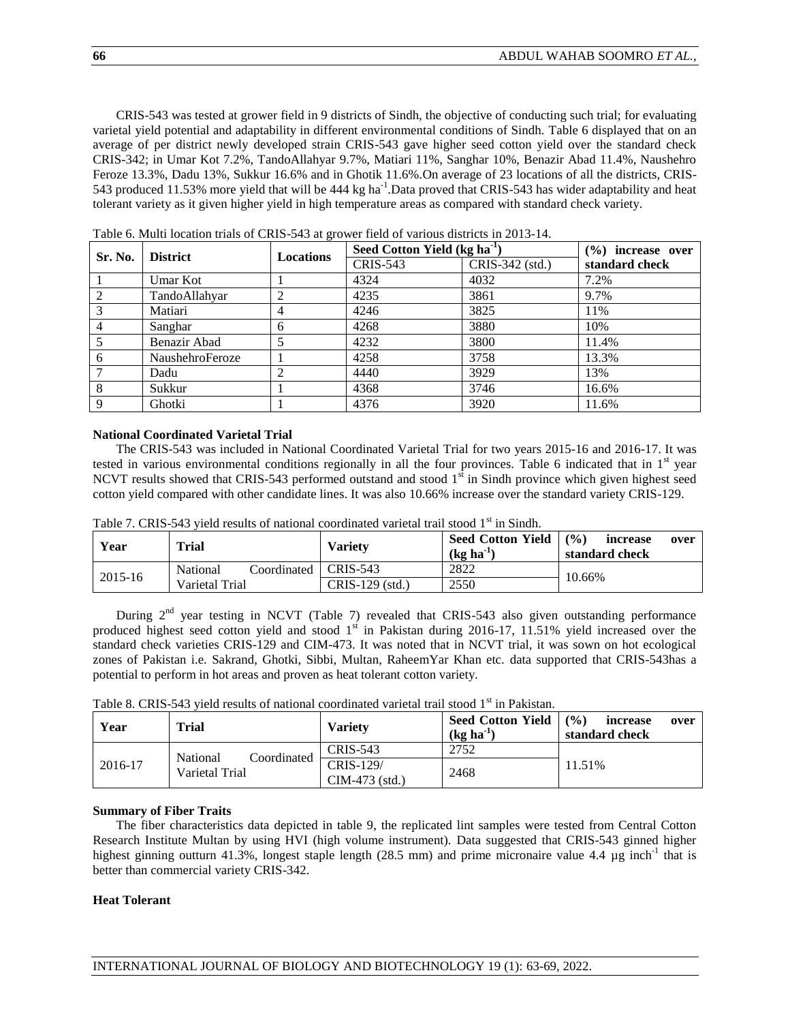CRIS-543 was tested at grower field in 9 districts of Sindh, the objective of conducting such trial; for evaluating varietal yield potential and adaptability in different environmental conditions of Sindh. Table 6 displayed that on an average of per district newly developed strain CRIS-543 gave higher seed cotton yield over the standard check CRIS-342; in Umar Kot 7.2%, TandoAllahyar 9.7%, Matiari 11%, Sanghar 10%, Benazir Abad 11.4%, Naushehro Feroze 13.3%, Dadu 13%, Sukkur 16.6% and in Ghotik 11.6%.On average of 23 locations of all the districts, CRIS-543 produced 11.53% more yield that will be 444 kg ha<sup>-1</sup>. Data proved that CRIS-543 has wider adaptability and heat tolerant variety as it given higher yield in high temperature areas as compared with standard check variety.

|         | <b>District</b> |           | Seed Cotton Yield (kg ha <sup>-1</sup> ) | $(\%)$ increase over |                |
|---------|-----------------|-----------|------------------------------------------|----------------------|----------------|
| Sr. No. |                 | Locations | <b>CRIS-543</b>                          | CRIS-342 (std.)      | standard check |
|         | Umar Kot        |           | 4324                                     | 4032                 | 7.2%           |
| 2       | TandoAllahyar   |           | 4235                                     | 3861                 | 9.7%           |
| 3       | Matiari         | 4         | 4246                                     | 3825                 | 11%            |
|         | Sanghar         | 6         | 4268                                     | 3880                 | 10%            |
|         | Benazir Abad    |           | 4232                                     | 3800                 | 11.4%          |
| 6       | NaushehroFeroze |           | 4258                                     | 3758                 | 13.3%          |
|         | Dadu            |           | 4440                                     | 3929                 | 13%            |
| 8       | Sukkur          |           | 4368                                     | 3746                 | 16.6%          |
| 9       | Ghotki          |           | 4376                                     | 3920                 | 11.6%          |

Table 6. Multi location trials of CRIS-543 at grower field of various districts in 2013-14.

## **National Coordinated Varietal Trial**

The CRIS-543 was included in National Coordinated Varietal Trial for two years 2015-16 and 2016-17. It was tested in various environmental conditions regionally in all the four provinces. Table 6 indicated that in  $1<sup>st</sup>$  year NCVT results showed that CRIS-543 performed outstand and stood 1<sup>st</sup> in Sindh province which given highest seed cotton yield compared with other candidate lines. It was also 10.66% increase over the standard variety CRIS-129.

| Year        | Trial                              | <b>Variety</b>  | <b>Seed Cotton Yield</b><br>$(kg)$ ha <sup>-1</sup> | (9/6)<br>increase<br>over<br>standard check |
|-------------|------------------------------------|-----------------|-----------------------------------------------------|---------------------------------------------|
| $2015 - 16$ | Coordinated   CRIS-543<br>National |                 | 2822                                                | 10.66%                                      |
|             | Varietal Trial                     | CRIS-129 (std.) | 2550                                                |                                             |

Table 7. CRIS-543 yield results of national coordinated varietal trail stood 1st in Sindh.

During  $2<sup>nd</sup>$  year testing in NCVT (Table 7) revealed that CRIS-543 also given outstanding performance produced highest seed cotton yield and stood  $1<sup>st</sup>$  in Pakistan during 2016-17, 11.51% yield increased over the standard check varieties CRIS-129 and CIM-473. It was noted that in NCVT trial, it was sown on hot ecological zones of Pakistan i.e. Sakrand, Ghotki, Sibbi, Multan, RaheemYar Khan etc. data supported that CRIS-543has a potential to perform in hot areas and proven as heat tolerant cotton variety.

| Table 8. CRIS-543 yield results of national coordinated varietal trail stood 1 <sup>st</sup> in Pakistan. |
|-----------------------------------------------------------------------------------------------------------|
|-----------------------------------------------------------------------------------------------------------|

| Year    | Trial                                     | <b>Variety</b>                | <b>Seed Cotton Yield</b><br>$(kg ha-1)$ | $($ %)<br>increase<br>over<br>standard check |
|---------|-------------------------------------------|-------------------------------|-----------------------------------------|----------------------------------------------|
|         |                                           | <b>CRIS-543</b>               | 2752                                    |                                              |
| 2016-17 | Coordinated<br>National<br>Varietal Trial | CRIS-129/<br>$CIM-473$ (std.) | 2468                                    | 11.51%                                       |

## **Summary of Fiber Traits**

The fiber characteristics data depicted in table 9, the replicated lint samples were tested from Central Cotton Research Institute Multan by using HVI (high volume instrument). Data suggested that CRIS-543 ginned higher highest ginning outturn 41.3%, longest staple length (28.5 mm) and prime micronaire value 4.4 µg inch<sup>-1</sup> that is better than commercial variety CRIS-342.

#### **Heat Tolerant**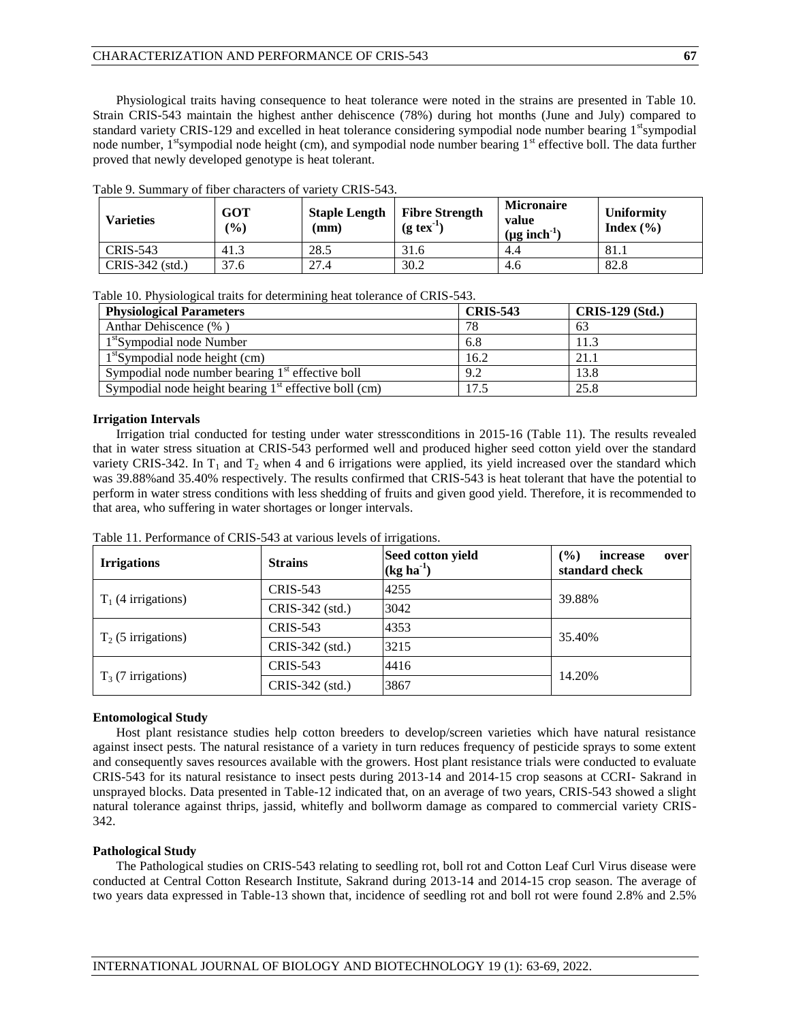Physiological traits having consequence to heat tolerance were noted in the strains are presented in Table 10. Strain CRIS-543 maintain the highest anther dehiscence (78%) during hot months (June and July) compared to standard variety CRIS-129 and excelled in heat tolerance considering sympodial node number bearing  $1<sup>st</sup>$ sympodial node number, 1<sup>st</sup>sympodial node height (cm), and sympodial node number bearing 1<sup>st</sup> effective boll. The data further proved that newly developed genotype is heat tolerant.

| <b>Varieties</b> | GOT<br>(%) | <b>Staple Length</b><br>$(\mathbf{mm})$ | <b>Fibre Strength</b><br>$(g \text{tex}^{-1})$ | <b>Micronaire</b><br>value<br>$(\mu g \text{ inch}^{-1})$ | <b>Uniformity</b><br>Index $(\% )$ |
|------------------|------------|-----------------------------------------|------------------------------------------------|-----------------------------------------------------------|------------------------------------|
| CRIS-543         | 41.3       | 28.5                                    | 31.6                                           | 4.4                                                       | -81.1                              |
| CRIS-342 (std.)  | 37.6       | 27.4                                    | 30.2                                           | 4.6                                                       | 82.8                               |

Table 9. Summary of fiber characters of variety CRIS-543.

Table 10. Physiological traits for determining heat tolerance of CRIS-543.

| <b>Physiological Parameters</b>                         | <b>CRIS-543</b> | <b>CRIS-129 (Std.)</b> |
|---------------------------------------------------------|-----------------|------------------------|
| Anthar Dehiscence (%)                                   | 78              | 63                     |
| 1 <sup>st</sup> Sympodial node Number                   | 6.8             | 11.3                   |
| $1st$ Sympodial node height (cm)                        | 16.2            | 21.1                   |
| Sympodial node number bearing $1st$ effective boll      | 9.2             | 13.8                   |
| Sympodial node height bearing $1st$ effective boll (cm) | 17.5            | 25.8                   |

## **Irrigation Intervals**

Irrigation trial conducted for testing under water stressconditions in 2015-16 (Table 11). The results revealed that in water stress situation at CRIS-543 performed well and produced higher seed cotton yield over the standard variety CRIS-342. In  $T_1$  and  $T_2$  when 4 and 6 irrigations were applied, its yield increased over the standard which was 39.88%and 35.40% respectively. The results confirmed that CRIS-543 is heat tolerant that have the potential to perform in water stress conditions with less shedding of fruits and given good yield. Therefore, it is recommended to that area, who suffering in water shortages or longer intervals.

| <b>Irrigations</b>    | <b>Strains</b>  | Seed cotton yield<br>$(kg ha-1)$ | $($ %)<br>increase<br>over<br>standard check |  |
|-----------------------|-----------------|----------------------------------|----------------------------------------------|--|
| $T_1$ (4 irrigations) | CRIS-543        | 4255                             | 39.88%                                       |  |
|                       | CRIS-342 (std.) | 3042                             |                                              |  |
| $T_2$ (5 irrigations) | <b>CRIS-543</b> | 4353                             | 35.40%                                       |  |
|                       | CRIS-342 (std.) | 3215                             |                                              |  |
| $T_3$ (7 irrigations) | <b>CRIS-543</b> | 4416                             | 14.20%                                       |  |
|                       | CRIS-342 (std.) | 3867                             |                                              |  |

Table 11. Performance of CRIS-543 at various levels of irrigations.

### **Entomological Study**

Host plant resistance studies help cotton breeders to develop/screen varieties which have natural resistance against insect pests. The natural resistance of a variety in turn reduces frequency of pesticide sprays to some extent and consequently saves resources available with the growers. Host plant resistance trials were conducted to evaluate CRIS-543 for its natural resistance to insect pests during 2013-14 and 2014-15 crop seasons at CCRI- Sakrand in unsprayed blocks. Data presented in Table-12 indicated that, on an average of two years, CRIS-543 showed a slight natural tolerance against thrips, jassid, whitefly and bollworm damage as compared to commercial variety CRIS-342.

#### **Pathological Study**

The Pathological studies on CRIS-543 relating to seedling rot, boll rot and Cotton Leaf Curl Virus disease were conducted at Central Cotton Research Institute, Sakrand during 2013-14 and 2014-15 crop season. The average of two years data expressed in Table-13 shown that, incidence of seedling rot and boll rot were found 2.8% and 2.5%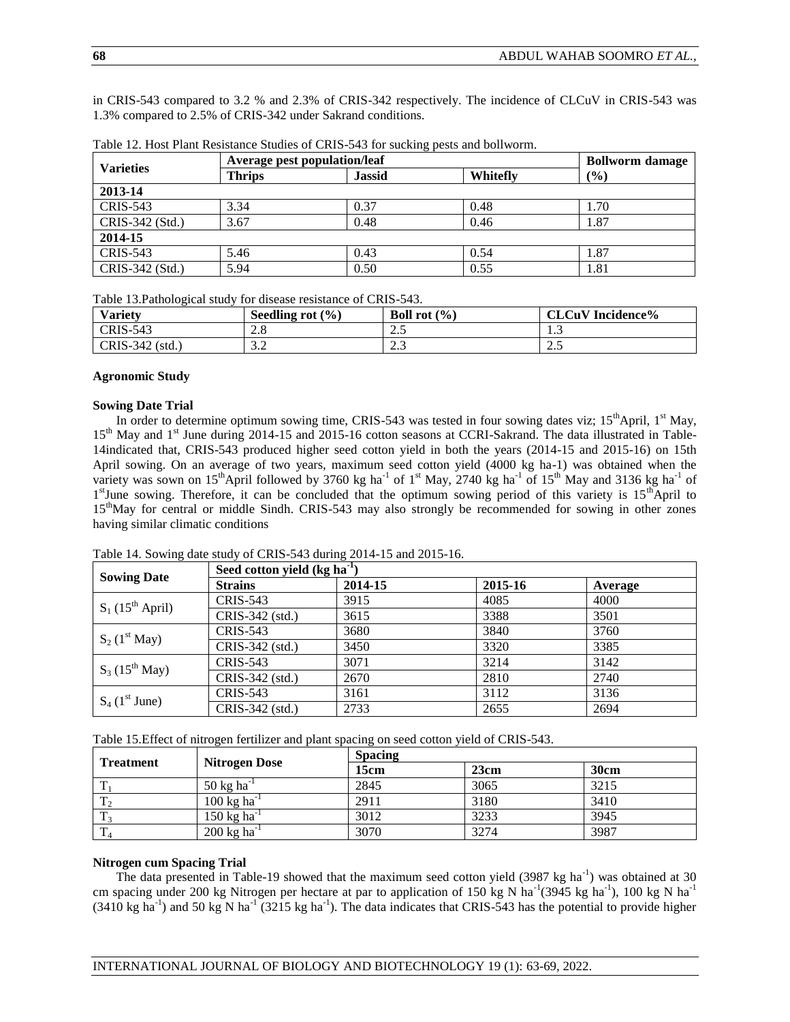in CRIS-543 compared to 3.2 % and 2.3% of CRIS-342 respectively. The incidence of CLCuV in CRIS-543 was 1.3% compared to 2.5% of CRIS-342 under Sakrand conditions.

| <b>Varieties</b> | Average pest population/leaf |               |          | <b>Bollworm</b> damage |
|------------------|------------------------------|---------------|----------|------------------------|
|                  | <b>Thrips</b>                | <b>Jassid</b> | Whitefly | (%)                    |
| 2013-14          |                              |               |          |                        |
| <b>CRIS-543</b>  | 3.34                         | 0.37          | 0.48     | 1.70                   |
| CRIS-342 (Std.)  | 3.67                         | 0.48          | 0.46     | 1.87                   |
| 2014-15          |                              |               |          |                        |
| <b>CRIS-543</b>  | 5.46                         | 0.43          | 0.54     | 1.87                   |
| CRIS-342 (Std.)  | 5.94                         | 0.50          | 0.55     | 1.81                   |

Table 12. Host Plant Resistance Studies of CRIS-543 for sucking pests and bollworm.

Table 13.Pathological study for disease resistance of CRIS-543.

| <b>Variety</b>  | Seedling rot<br>(9/0) | <b>Boll rot</b> $(\% )$ | <b>CLCuV</b> Incidence% |
|-----------------|-----------------------|-------------------------|-------------------------|
| <b>CRIS-543</b> | $\angle$ .0           | ن ک                     | ن د                     |
| CRIS-342 (std.) | $\sim$ $\sim$<br>ے ۔  | ر. د سک                 | ر. د سه                 |

#### **Agronomic Study**

#### **Sowing Date Trial**

In order to determine optimum sowing time, CRIS-543 was tested in four sowing dates viz; 15<sup>th</sup>April, 1<sup>st</sup> May, 15<sup>th</sup> May and 1<sup>st</sup> June during 2014-15 and 2015-16 cotton seasons at CCRI-Sakrand. The data illustrated in Table-14indicated that, CRIS-543 produced higher seed cotton yield in both the years (2014-15 and 2015-16) on 15th April sowing. On an average of two years, maximum seed cotton yield (4000 kg ha-1) was obtained when the variety was sown on 15<sup>th</sup>April followed by 3760 kg ha<sup>-1</sup> of 1<sup>st</sup> May, 2740 kg ha<sup>-1</sup> of 15<sup>th</sup> May and 3136 kg ha<sup>-1</sup> of 1<sup>st</sup>June sowing. Therefore, it can be concluded that the optimum sowing period of this variety is 15<sup>th</sup>April to 15<sup>th</sup>May for central or middle Sindh. CRIS-543 may also strongly be recommended for sowing in other zones having similar climatic conditions

|                                | Seed cotton yield $(kg ha-1)$ |         |         |         |  |
|--------------------------------|-------------------------------|---------|---------|---------|--|
| <b>Sowing Date</b>             | <b>Strains</b>                | 2014-15 | 2015-16 | Average |  |
| $S_1$ (15 <sup>th</sup> April) | <b>CRIS-543</b>               | 3915    | 4085    | 4000    |  |
|                                | CRIS-342 (std.)               | 3615    | 3388    | 3501    |  |
| $S_2$ (1 <sup>st</sup> May)    | <b>CRIS-543</b>               | 3680    | 3840    | 3760    |  |
|                                | CRIS-342 (std.)               | 3450    | 3320    | 3385    |  |
| $S_3$ (15 <sup>th</sup> May)   | <b>CRIS-543</b>               | 3071    | 3214    | 3142    |  |
|                                | CRIS-342 (std.)               | 2670    | 2810    | 2740    |  |
| $S_4$ (1 <sup>st</sup> June)   | <b>CRIS-543</b>               | 3161    | 3112    | 3136    |  |
|                                | CRIS-342 (std.)               | 2733    | 2655    | 2694    |  |

Table 14. Sowing date study of CRIS-543 during 2014-15 and 2015-16.

Table 15.Effect of nitrogen fertilizer and plant spacing on seed cotton yield of CRIS-543.

| <b>Treatment</b> |                                  | <b>Spacing</b> |      |      |  |  |
|------------------|----------------------------------|----------------|------|------|--|--|
|                  | <b>Nitrogen Dose</b>             | 15cm           | 23cm | 30cm |  |  |
| ௱                | 50 kg ha <sup>-1</sup>           | 2845           | 3065 | 3215 |  |  |
| $T_{2}$          | $100 \text{ kg} \text{ ha}^{-1}$ | 2911           | 3180 | 3410 |  |  |
| ௱                | 150 kg ha <sup>-1</sup>          | 3012           | 3233 | 3945 |  |  |
| T <sub>4</sub>   | $200 \text{ kg} \text{ ha}^{-1}$ | 3070           | 3274 | 3987 |  |  |

#### **Nitrogen cum Spacing Trial**

The data presented in Table-19 showed that the maximum seed cotton yield  $(3987 \text{ kg ha}^{-1})$  was obtained at 30 cm spacing under 200 kg Nitrogen per hectare at par to application of 150 kg N ha<sup>-1</sup>(3945 kg ha<sup>-1</sup>), 100 kg N ha<sup>-1</sup>  $(3410 \text{ kg ha}^{-1})$  and 50 kg N ha<sup>-1</sup>  $(3215 \text{ kg ha}^{-1})$ . The data indicates that CRIS-543 has the potential to provide higher